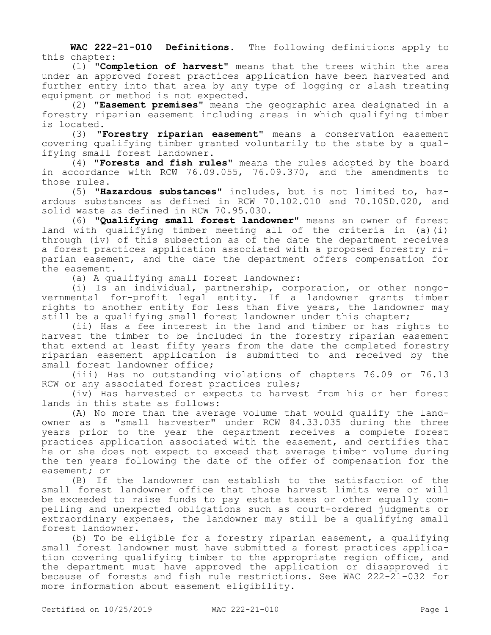**WAC 222-21-010 Definitions.** The following definitions apply to this chapter:

(1) **"Completion of harvest"** means that the trees within the area under an approved forest practices application have been harvested and further entry into that area by any type of logging or slash treating equipment or method is not expected.

(2) **"Easement premises"** means the geographic area designated in a forestry riparian easement including areas in which qualifying timber is located.

(3) **"Forestry riparian easement"** means a conservation easement covering qualifying timber granted voluntarily to the state by a qualifying small forest landowner.

(4) **"Forests and fish rules"** means the rules adopted by the board in accordance with RCW 76.09.055, 76.09.370, and the amendments to those rules.

(5) **"Hazardous substances"** includes, but is not limited to, hazardous substances as defined in RCW 70.102.010 and 70.105D.020, and solid waste as defined in RCW 70.95.030.

(6) **"Qualifying small forest landowner"** means an owner of forest land with qualifying timber meeting all of the criteria in (a)(i) through (iv) of this subsection as of the date the department receives a forest practices application associated with a proposed forestry riparian easement, and the date the department offers compensation for the easement.

(a) A qualifying small forest landowner:

(i) Is an individual, partnership, corporation, or other nongovernmental for-profit legal entity. If a landowner grants timber rights to another entity for less than five years, the landowner may still be a qualifying small forest landowner under this chapter;

(ii) Has a fee interest in the land and timber or has rights to harvest the timber to be included in the forestry riparian easement that extend at least fifty years from the date the completed forestry riparian easement application is submitted to and received by the small forest landowner office;

(iii) Has no outstanding violations of chapters 76.09 or 76.13 RCW or any associated forest practices rules;

(iv) Has harvested or expects to harvest from his or her forest lands in this state as follows:

(A) No more than the average volume that would qualify the landowner as a "small harvester" under RCW 84.33.035 during the three years prior to the year the department receives a complete forest practices application associated with the easement, and certifies that he or she does not expect to exceed that average timber volume during the ten years following the date of the offer of compensation for the easement; or

(B) If the landowner can establish to the satisfaction of the small forest landowner office that those harvest limits were or will be exceeded to raise funds to pay estate taxes or other equally compelling and unexpected obligations such as court-ordered judgments or extraordinary expenses, the landowner may still be a qualifying small forest landowner.

(b) To be eligible for a forestry riparian easement, a qualifying small forest landowner must have submitted a forest practices application covering qualifying timber to the appropriate region office, and the department must have approved the application or disapproved it because of forests and fish rule restrictions. See WAC 222-21-032 for more information about easement eligibility.